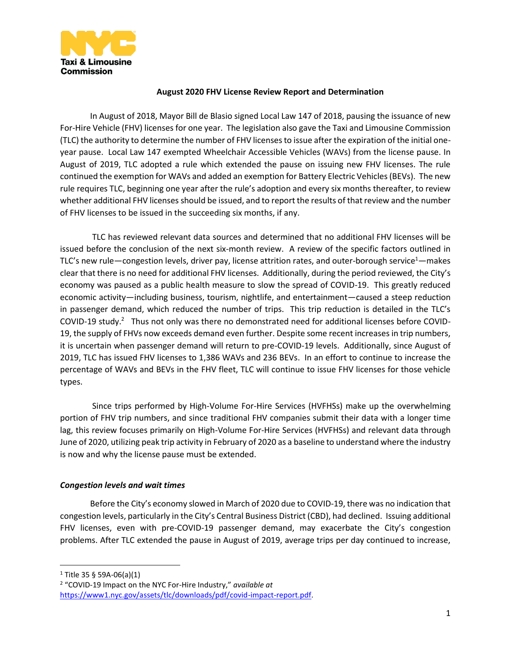

### **August 2020 FHV License Review Report and Determination**

In August of 2018, Mayor Bill de Blasio signed Local Law 147 of 2018, pausing the issuance of new For-Hire Vehicle (FHV) licenses for one year. The legislation also gave the Taxi and Limousine Commission (TLC) the authority to determine the number of FHV licenses to issue after the expiration of the initial oneyear pause. Local Law 147 exempted Wheelchair Accessible Vehicles (WAVs) from the license pause. In August of 2019, TLC adopted a rule which extended the pause on issuing new FHV licenses. The rule continued the exemption for WAVs and added an exemption for Battery Electric Vehicles (BEVs). The new rule requires TLC, beginning one year after the rule's adoption and every six months thereafter, to review whether additional FHV licenses should be issued, and to report the results of that review and the number of FHV licenses to be issued in the succeeding six months, if any.

TLC has reviewed relevant data sources and determined that no additional FHV licenses will be issued before the conclusion of the next six-month review. A review of the specific factors outlined in TLC's new rule—congestion levels, driver pay, license attrition rates, and outer-borough service<sup>1</sup>—makes clear that there is no need for additional FHV licenses. Additionally, during the period reviewed, the City's economy was paused as a public health measure to slow the spread of COVID-19. This greatly reduced economic activity—including business, tourism, nightlife, and entertainment—caused a steep reduction in passenger demand, which reduced the number of trips. This trip reduction is detailed in the TLC's COVID-19 study.<sup>2</sup> Thus not only was there no demonstrated need for additional licenses before COVID-19, the supply of FHVs now exceeds demand even further. Despite some recent increases in trip numbers, it is uncertain when passenger demand will return to pre-COVID-19 levels. Additionally, since August of 2019, TLC has issued FHV licenses to 1,386 WAVs and 236 BEVs. In an effort to continue to increase the percentage of WAVs and BEVs in the FHV fleet, TLC will continue to issue FHV licenses for those vehicle types.

Since trips performed by High-Volume For-Hire Services (HVFHSs) make up the overwhelming portion of FHV trip numbers, and since traditional FHV companies submit their data with a longer time lag, this review focuses primarily on High-Volume For-Hire Services (HVFHSs) and relevant data through June of 2020, utilizing peak trip activity in February of 2020 as a baseline to understand where the industry is now and why the license pause must be extended.

# *Congestion levels and wait times*

Before the City's economy slowed in March of 2020 due to COVID-19, there was no indication that congestion levels, particularly in the City's Central Business District (CBD), had declined. Issuing additional FHV licenses, even with pre-COVID-19 passenger demand, may exacerbate the City's congestion problems. After TLC extended the pause in August of 2019, average trips per day continued to increase,

 $\overline{a}$ 

 $1$  Title 35 § 59A-06(a)(1)

<sup>2</sup> "COVID-19 Impact on the NYC For-Hire Industry," *available at* [https://www1.nyc.gov/assets/tlc/downloads/pdf/covid-impact-report.pdf.](https://www1.nyc.gov/assets/tlc/downloads/pdf/covid-impact-report.pdf)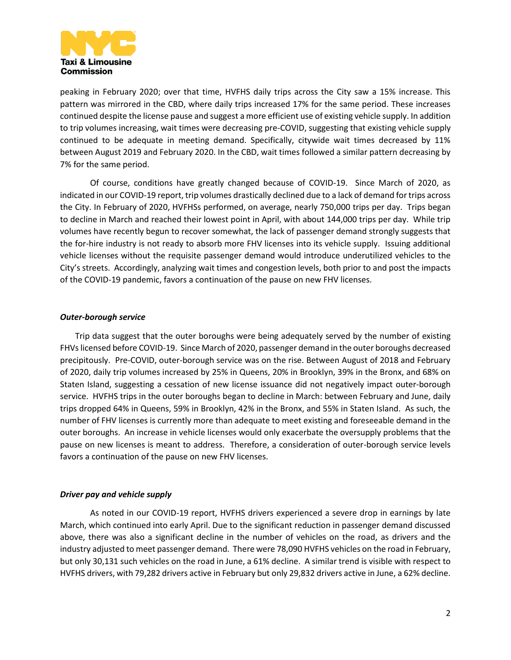

peaking in February 2020; over that time, HVFHS daily trips across the City saw a 15% increase. This pattern was mirrored in the CBD, where daily trips increased 17% for the same period. These increases continued despite the license pause and suggest a more efficient use of existing vehicle supply. In addition to trip volumes increasing, wait times were decreasing pre-COVID, suggesting that existing vehicle supply continued to be adequate in meeting demand. Specifically, citywide wait times decreased by 11% between August 2019 and February 2020. In the CBD, wait times followed a similar pattern decreasing by 7% for the same period.

Of course, conditions have greatly changed because of COVID-19. Since March of 2020, as indicated in our COVID-19 report, trip volumes drastically declined due to a lack of demand for trips across the City. In February of 2020, HVFHSs performed, on average, nearly 750,000 trips per day. Trips began to decline in March and reached their lowest point in April, with about 144,000 trips per day. While trip volumes have recently begun to recover somewhat, the lack of passenger demand strongly suggests that the for-hire industry is not ready to absorb more FHV licenses into its vehicle supply. Issuing additional vehicle licenses without the requisite passenger demand would introduce underutilized vehicles to the City's streets. Accordingly, analyzing wait times and congestion levels, both prior to and post the impacts of the COVID-19 pandemic, favors a continuation of the pause on new FHV licenses.

# *Outer-borough service*

Trip data suggest that the outer boroughs were being adequately served by the number of existing FHVslicensed before COVID-19. Since March of 2020, passenger demand in the outer boroughs decreased precipitously. Pre-COVID, outer-borough service was on the rise. Between August of 2018 and February of 2020, daily trip volumes increased by 25% in Queens, 20% in Brooklyn, 39% in the Bronx, and 68% on Staten Island, suggesting a cessation of new license issuance did not negatively impact outer-borough service. HVFHS trips in the outer boroughs began to decline in March: between February and June, daily trips dropped 64% in Queens, 59% in Brooklyn, 42% in the Bronx, and 55% in Staten Island. As such, the number of FHV licenses is currently more than adequate to meet existing and foreseeable demand in the outer boroughs. An increase in vehicle licenses would only exacerbate the oversupply problems that the pause on new licenses is meant to address. Therefore, a consideration of outer-borough service levels favors a continuation of the pause on new FHV licenses.

# *Driver pay and vehicle supply*

As noted in our COVID-19 report, HVFHS drivers experienced a severe drop in earnings by late March, which continued into early April. Due to the significant reduction in passenger demand discussed above, there was also a significant decline in the number of vehicles on the road, as drivers and the industry adjusted to meet passenger demand. There were 78,090 HVFHS vehicles on the road in February, but only 30,131 such vehicles on the road in June, a 61% decline. A similar trend is visible with respect to HVFHS drivers, with 79,282 drivers active in February but only 29,832 drivers active in June, a 62% decline.